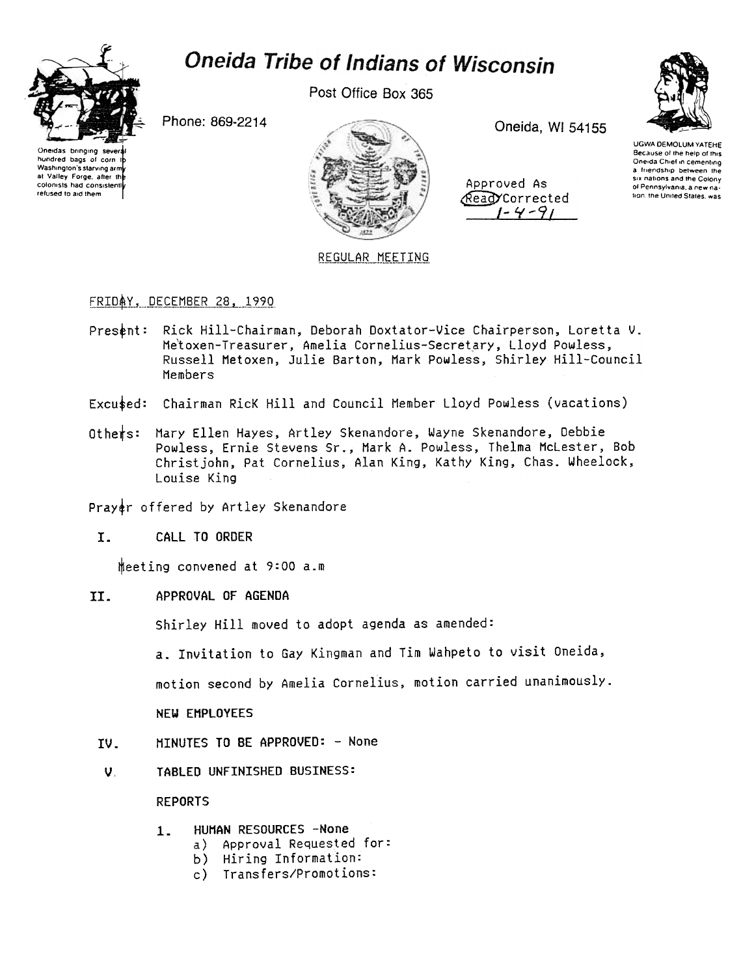# **Oneida Tribe of Indians of Wisconsin**



hundred bags of corn I Washington's starving arm at Valley Forge, after thi colonists had consisten refused to aid them

Post Office Box 365



Approved As Read Corrected  $1 - 4 - 91$ 



UGWA DEMOLUM YATEHE Because of the help of this Oneida Chief in cementing a friendship between the six nations and the Colony of Pennsylvania a new na. tion, the United States, was

### FRIDAY, DECEMBER 28, 1990

- Present: Rick Hill-Chairman, Deborah Doxtator-Vice Chairperson, Loretta V. He'toxen-Treasurer, Amelia Cornelius-Secretary, Lloyd Powless, Russell Metoxen, Julie Barton, Mark Powless, Shirley Hill-Council Members
- Excu\$ed: Chairman RicK Hill and Council Member Lloyd Powless (vacations)
- Others: Mary Ellen Hayes, Artley Skenandore, Wayne Skenandore, Debbie Powless, Ernie Stevens Sr., Mark A. Powless, Thelma McLester, Bob Christ john, Pat Cornelius, Alan King, Kathy King, Chas. Wheelock, Louise King
- Prayer offered by Artley Skenandore
- I. CAll TO ORDER

heeting convened at 9:00 a.m

II. APPROVAL OF AGENDA

Shirley Hill moved to adopt agenda as amended:

a. Invitation to Gay Kingman and Tim Wahpeto to visit Oneida,

motion second by Amelia Cornelius, motion carried unanimously-

NEW EMPLOYEES

- MINUTES TO BE APPROVED: None IV.
- v TABLED UNFINISHED BUSINESS:

REPORTS

- $1 -$ HUMAN RESOURCES -None
	- a) Approval Requested for:
	- b) Hiring Information:
	- c) Transfers/Promotions: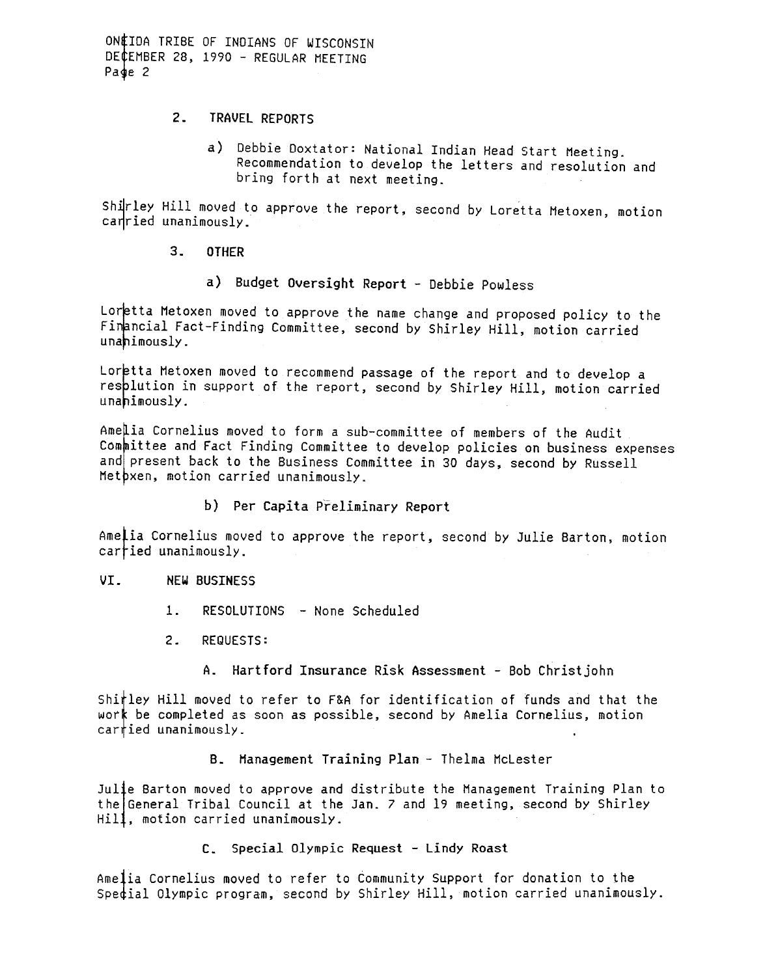ON∉IDA TRIBE OF INDIANS OF WISCONSIN DE E 28, 1990 -REGULAR MEETING Page 2

### 2. TRAVEL REPORTS

a) Debbie Doxtator: National Indian Head Start Meeting. Recommendation to develop the letters and resolution and bring forth at next meeting.

Shirley Hill moved to approve the report, second by Loretta Metoxen, motion canried unanimously.

#### $3 -$ **OTHER**

a) Budget Oversight Report - Debbie Powless

Loretta Metoxen moved to approve the name change and proposed policy to the Financial Fact-Finding Committee, second by Shirley Hill, motion carried unahimously.

Loretta Metoxen moved to recommend passage of the report and to develop a resblution in support of the report, second by Shirley Hill, motion carried unahimously.

Amefia Cornelius moved to form a sub-committee of members of the Audit Committee and Fact Finding Committee to develop policies on business expenses and present back to the Business Committee in 30 days, second by Russell Metbxen, motion carried unanimously.

b) Per Capita Preliminary Report

Amelia Cornelius moved to approve the report, second by Julie Barton, motion cartied unanimously.

#### VI. NEW BUSINESS

- 1. RESOLUTIONS None Scheduled
- - A. Hartford Insurance Risk Assessment Bob Christjohn

Shirley Hill moved to refer to F&A for identification of funds and that the work be completed as soon as possible, second by Amelia Cornelius, motion carried unanimously.

B. Hanagement Training Plan -Thelma McLester

2. REQUESTS:<br>
A. Hart1<br>
Shirley Hill moved to r<br>
work be completed as sc<br>
carried unanimously.<br>
B. Mana<br>
Julie Barton moved to a<br>
the General Tribal Coun<br>
Hill, motion carried un<br>
C. Special Cornelius moved<br>
Special Olympi JUlIe Barton moved to approve and distribute the Management Training Plan to the General Tribal Council at the Jan. 7 and 19 meeting, second by Shirley  $Hill$ , motion carried unanimously.

c. Special Olympic Request -Lindy Roast

Amelia Cornelius moved to refer to Community Support for donation to the Special Olympic program, second by Shirley Hill, motion carried unanimously.